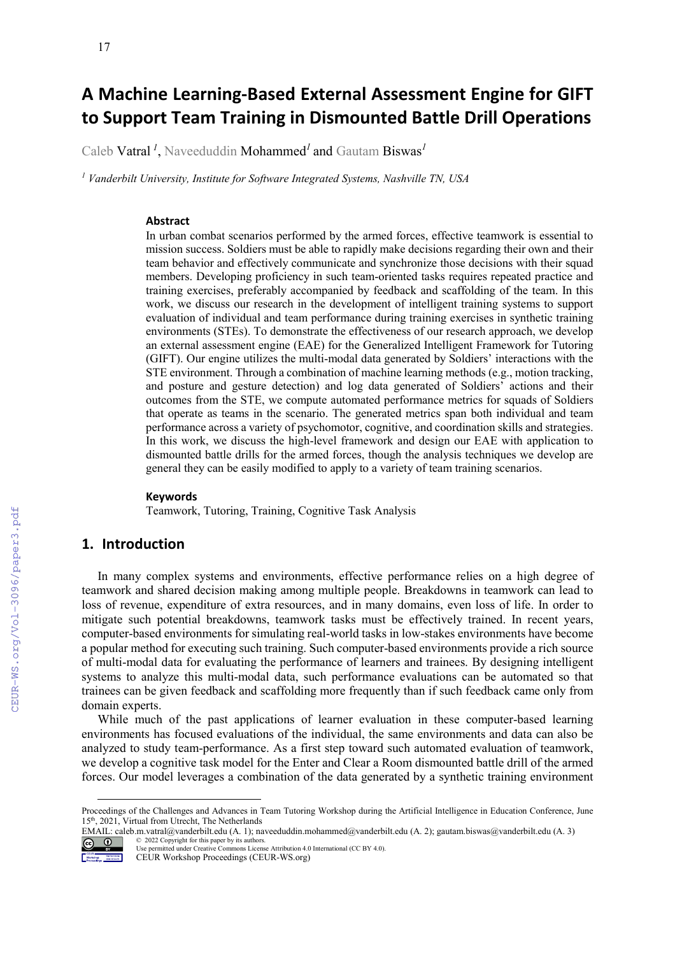# **A Machine Learning-Based External Assessment Engine for GIFT to Support Team Training in Dismounted Battle Drill Operations**

Caleb Vatral *<sup>1</sup>* , Naveeduddin Mohammed*<sup>1</sup>* and Gautam Biswas*<sup>1</sup>*

*<sup>1</sup> Vanderbilt University, Institute for Software Integrated Systems, Nashville TN, USA*

#### **Abstract**

In urban combat scenarios performed by the armed forces, effective teamwork is essential to mission success. Soldiers must be able to rapidly make decisions regarding their own and their team behavior and effectively communicate and synchronize those decisions with their squad members. Developing proficiency in such team-oriented tasks requires repeated practice and training exercises, preferably accompanied by feedback and scaffolding of the team. In this work, we discuss our research in the development of intelligent training systems to support evaluation of individual and team performance during training exercises in synthetic training environments (STEs). To demonstrate the effectiveness of our research approach, we develop an external assessment engine (EAE) for the Generalized Intelligent Framework for Tutoring (GIFT). Our engine utilizes the multi-modal data generated by Soldiers' interactions with the STE environment. Through a combination of machine learning methods (e.g., motion tracking, and posture and gesture detection) and log data generated of Soldiers' actions and their outcomes from the STE, we compute automated performance metrics for squads of Soldiers that operate as teams in the scenario. The generated metrics span both individual and team performance across a variety of psychomotor, cognitive, and coordination skills and strategies. In this work, we discuss the high-level framework and design our EAE with application to dismounted battle drills for the armed forces, though the analysis techniques we develop are general they can be easily modified to apply to a variety of team training scenarios.

#### **Keywords**

Teamwork, Tutoring, Training, Cognitive Task Analysis [1](#page-0-0)

# **1. Introduction**

CEUR-WS.org/Vol-3096/paper3.pdf

In many complex systems and environments, effective performance relies on a high degree of teamwork and shared decision making among multiple people. Breakdowns in teamwork can lead to loss of revenue, expenditure of extra resources, and in many domains, even loss of life. In order to mitigate such potential breakdowns, teamwork tasks must be effectively trained. In recent years, computer-based environments for simulating real-world tasks in low-stakes environments have become a popular method for executing such training. Such computer-based environments provide a rich source of multi-modal data for evaluating the performance of learners and trainees. By designing intelligent systems to analyze this multi-modal data, such performance evaluations can be automated so that trainees can be given feedback and scaffolding more frequently than if such feedback came only from domain experts.

While much of the past applications of learner evaluation in these computer-based learning environments has focused evaluations of the individual, the same environments and data can also be analyzed to study team-performance. As a first step toward such automated evaluation of teamwork, we develop a cognitive task model for the Enter and Clear a Room dismounted battle drill of the armed forces. Our model leverages a combination of the data generated by a synthetic training environment

EMAIL: caleb.m.vatral@vanderbilt.edu (A. 1); naveeduddin.mohammed@vanderbilt.edu (A. 2); gautam.biswas@vanderbilt.edu (A. 3)



© 2022 Copyright for this paper by its authors. Use permitted under Creative Commons License Attribution 4.0 International (CC BY 4.0).

<span id="page-0-0"></span>Proceedings of the Challenges and Advances in Team Tutoring Workshop during the Artificial Intelligence in Education Conference, June 15<sup>th</sup>, 2021, Virtual from Utrecht, The Netherlands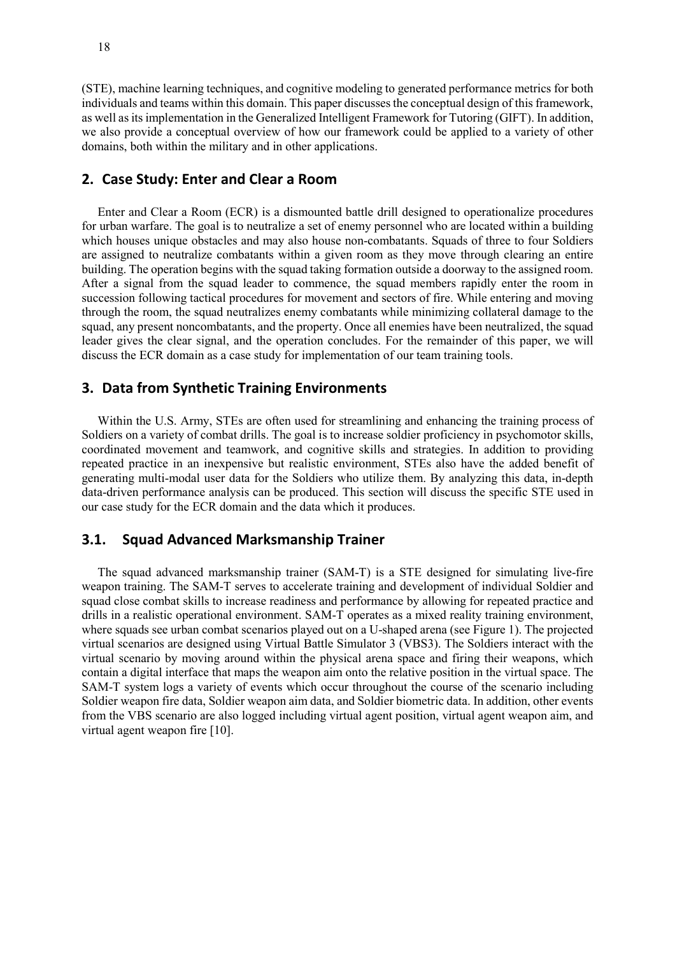(STE), machine learning techniques, and cognitive modeling to generated performance metrics for both individuals and teams within this domain. This paper discusses the conceptual design of this framework, as well as its implementation in the Generalized Intelligent Framework for Tutoring (GIFT). In addition, we also provide a conceptual overview of how our framework could be applied to a variety of other domains, both within the military and in other applications.

# **2. Case Study: Enter and Clear a Room**

Enter and Clear a Room (ECR) is a dismounted battle drill designed to operationalize procedures for urban warfare. The goal is to neutralize a set of enemy personnel who are located within a building which houses unique obstacles and may also house non-combatants. Squads of three to four Soldiers are assigned to neutralize combatants within a given room as they move through clearing an entire building. The operation begins with the squad taking formation outside a doorway to the assigned room. After a signal from the squad leader to commence, the squad members rapidly enter the room in succession following tactical procedures for movement and sectors of fire. While entering and moving through the room, the squad neutralizes enemy combatants while minimizing collateral damage to the squad, any present noncombatants, and the property. Once all enemies have been neutralized, the squad leader gives the clear signal, and the operation concludes. For the remainder of this paper, we will discuss the ECR domain as a case study for implementation of our team training tools.

#### **3. Data from Synthetic Training Environments**

Within the U.S. Army, STEs are often used for streamlining and enhancing the training process of Soldiers on a variety of combat drills. The goal is to increase soldier proficiency in psychomotor skills, coordinated movement and teamwork, and cognitive skills and strategies. In addition to providing repeated practice in an inexpensive but realistic environment, STEs also have the added benefit of generating multi-modal user data for the Soldiers who utilize them. By analyzing this data, in-depth data-driven performance analysis can be produced. This section will discuss the specific STE used in our case study for the ECR domain and the data which it produces.

# **3.1. Squad Advanced Marksmanship Trainer**

The squad advanced marksmanship trainer (SAM-T) is a STE designed for simulating live-fire weapon training. The SAM-T serves to accelerate training and development of individual Soldier and squad close combat skills to increase readiness and performance by allowing for repeated practice and drills in a realistic operational environment. SAM-T operates as a mixed reality training environment, where squads see urban combat scenarios played out on a U-shaped arena (see Figure 1). The projected virtual scenarios are designed using Virtual Battle Simulator 3 (VBS3). The Soldiers interact with the virtual scenario by moving around within the physical arena space and firing their weapons, which contain a digital interface that maps the weapon aim onto the relative position in the virtual space. The SAM-T system logs a variety of events which occur throughout the course of the scenario including Soldier weapon fire data, Soldier weapon aim data, and Soldier biometric data. In addition, other events from the VBS scenario are also logged including virtual agent position, virtual agent weapon aim, and virtual agent weapon fire [10].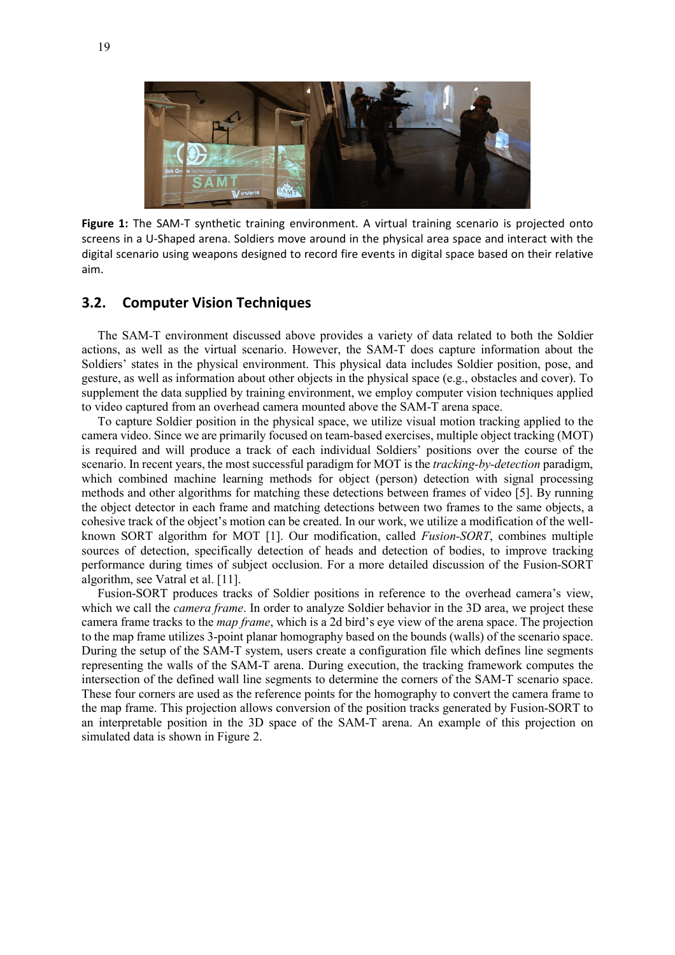

**Figure 1:** The SAM-T synthetic training environment. A virtual training scenario is projected onto screens in a U-Shaped arena. Soldiers move around in the physical area space and interact with the digital scenario using weapons designed to record fire events in digital space based on their relative aim.

# **3.2. Computer Vision Techniques**

The SAM-T environment discussed above provides a variety of data related to both the Soldier actions, as well as the virtual scenario. However, the SAM-T does capture information about the Soldiers' states in the physical environment. This physical data includes Soldier position, pose, and gesture, as well as information about other objects in the physical space (e.g., obstacles and cover). To supplement the data supplied by training environment, we employ computer vision techniques applied to video captured from an overhead camera mounted above the SAM-T arena space.

To capture Soldier position in the physical space, we utilize visual motion tracking applied to the camera video. Since we are primarily focused on team-based exercises, multiple object tracking (MOT) is required and will produce a track of each individual Soldiers' positions over the course of the scenario. In recent years, the most successful paradigm for MOT is the *tracking-by-detection* paradigm, which combined machine learning methods for object (person) detection with signal processing methods and other algorithms for matching these detections between frames of video [5]. By running the object detector in each frame and matching detections between two frames to the same objects, a cohesive track of the object's motion can be created. In our work, we utilize a modification of the wellknown SORT algorithm for MOT [1]. Our modification, called *Fusion-SORT*, combines multiple sources of detection, specifically detection of heads and detection of bodies, to improve tracking performance during times of subject occlusion. For a more detailed discussion of the Fusion-SORT algorithm, see Vatral et al. [11].

Fusion-SORT produces tracks of Soldier positions in reference to the overhead camera's view, which we call the *camera frame*. In order to analyze Soldier behavior in the 3D area, we project these camera frame tracks to the *map frame*, which is a 2d bird's eye view of the arena space. The projection to the map frame utilizes 3-point planar homography based on the bounds (walls) of the scenario space. During the setup of the SAM-T system, users create a configuration file which defines line segments representing the walls of the SAM-T arena. During execution, the tracking framework computes the intersection of the defined wall line segments to determine the corners of the SAM-T scenario space. These four corners are used as the reference points for the homography to convert the camera frame to the map frame. This projection allows conversion of the position tracks generated by Fusion-SORT to an interpretable position in the 3D space of the SAM-T arena. An example of this projection on simulated data is shown in Figure 2.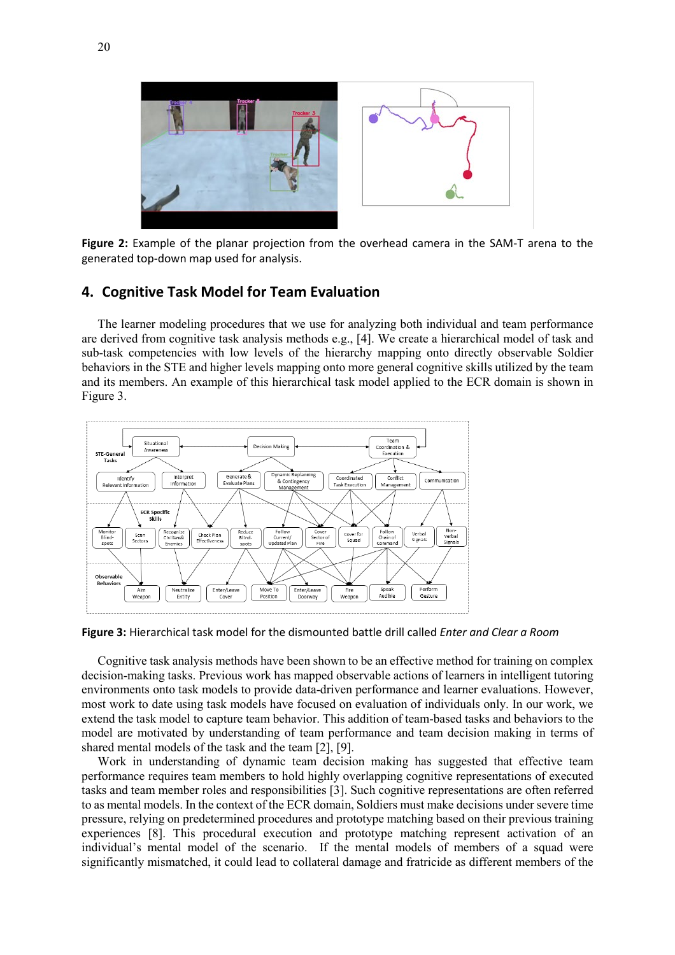

**Figure 2:** Example of the planar projection from the overhead camera in the SAM-T arena to the generated top-down map used for analysis.

# **4. Cognitive Task Model for Team Evaluation**

The learner modeling procedures that we use for analyzing both individual and team performance are derived from cognitive task analysis methods e.g., [4]. We create a hierarchical model of task and sub-task competencies with low levels of the hierarchy mapping onto directly observable Soldier behaviors in the STE and higher levels mapping onto more general cognitive skills utilized by the team and its members. An example of this hierarchical task model applied to the ECR domain is shown in Figure 3.



**Figure 3:** Hierarchical task model for the dismounted battle drill called *Enter and Clear a Room*

Cognitive task analysis methods have been shown to be an effective method for training on complex decision-making tasks. Previous work has mapped observable actions of learners in intelligent tutoring environments onto task models to provide data-driven performance and learner evaluations. However, most work to date using task models have focused on evaluation of individuals only. In our work, we extend the task model to capture team behavior. This addition of team-based tasks and behaviors to the model are motivated by understanding of team performance and team decision making in terms of shared mental models of the task and the team [2], [9].

Work in understanding of dynamic team decision making has suggested that effective team performance requires team members to hold highly overlapping cognitive representations of executed tasks and team member roles and responsibilities [3]. Such cognitive representations are often referred to as mental models. In the context of the ECR domain, Soldiers must make decisions under severe time pressure, relying on predetermined procedures and prototype matching based on their previous training experiences [8]. This procedural execution and prototype matching represent activation of an individual's mental model of the scenario. If the mental models of members of a squad were significantly mismatched, it could lead to collateral damage and fratricide as different members of the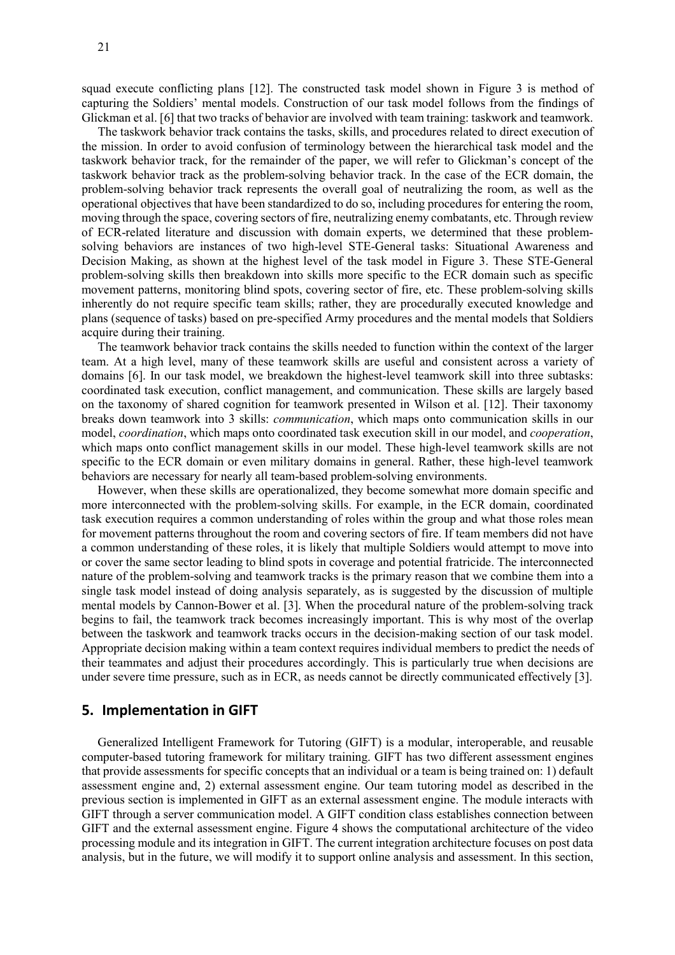21

squad execute conflicting plans [12]. The constructed task model shown in Figure 3 is method of capturing the Soldiers' mental models. Construction of our task model follows from the findings of Glickman et al. [6] that two tracks of behavior are involved with team training: taskwork and teamwork.

The taskwork behavior track contains the tasks, skills, and procedures related to direct execution of the mission. In order to avoid confusion of terminology between the hierarchical task model and the taskwork behavior track, for the remainder of the paper, we will refer to Glickman's concept of the taskwork behavior track as the problem-solving behavior track. In the case of the ECR domain, the problem-solving behavior track represents the overall goal of neutralizing the room, as well as the operational objectives that have been standardized to do so, including procedures for entering the room, moving through the space, covering sectors of fire, neutralizing enemy combatants, etc. Through review of ECR-related literature and discussion with domain experts, we determined that these problemsolving behaviors are instances of two high-level STE-General tasks: Situational Awareness and Decision Making, as shown at the highest level of the task model in Figure 3. These STE-General problem-solving skills then breakdown into skills more specific to the ECR domain such as specific movement patterns, monitoring blind spots, covering sector of fire, etc. These problem-solving skills inherently do not require specific team skills; rather, they are procedurally executed knowledge and plans (sequence of tasks) based on pre-specified Army procedures and the mental models that Soldiers acquire during their training.

The teamwork behavior track contains the skills needed to function within the context of the larger team. At a high level, many of these teamwork skills are useful and consistent across a variety of domains [6]. In our task model, we breakdown the highest-level teamwork skill into three subtasks: coordinated task execution, conflict management, and communication. These skills are largely based on the taxonomy of shared cognition for teamwork presented in Wilson et al. [12]. Their taxonomy breaks down teamwork into 3 skills: *communication*, which maps onto communication skills in our model, *coordination*, which maps onto coordinated task execution skill in our model, and *cooperation*, which maps onto conflict management skills in our model. These high-level teamwork skills are not specific to the ECR domain or even military domains in general. Rather, these high-level teamwork behaviors are necessary for nearly all team-based problem-solving environments.

However, when these skills are operationalized, they become somewhat more domain specific and more interconnected with the problem-solving skills. For example, in the ECR domain, coordinated task execution requires a common understanding of roles within the group and what those roles mean for movement patterns throughout the room and covering sectors of fire. If team members did not have a common understanding of these roles, it is likely that multiple Soldiers would attempt to move into or cover the same sector leading to blind spots in coverage and potential fratricide. The interconnected nature of the problem-solving and teamwork tracks is the primary reason that we combine them into a single task model instead of doing analysis separately, as is suggested by the discussion of multiple mental models by Cannon-Bower et al. [3]. When the procedural nature of the problem-solving track begins to fail, the teamwork track becomes increasingly important. This is why most of the overlap between the taskwork and teamwork tracks occurs in the decision-making section of our task model. Appropriate decision making within a team context requires individual members to predict the needs of their teammates and adjust their procedures accordingly. This is particularly true when decisions are under severe time pressure, such as in ECR, as needs cannot be directly communicated effectively [3].

#### **5. Implementation in GIFT**

Generalized Intelligent Framework for Tutoring (GIFT) is a modular, interoperable, and reusable computer-based tutoring framework for military training. GIFT has two different assessment engines that provide assessments for specific concepts that an individual or a team is being trained on: 1) default assessment engine and, 2) external assessment engine. Our team tutoring model as described in the previous section is implemented in GIFT as an external assessment engine. The module interacts with GIFT through a server communication model. A GIFT condition class establishes connection between GIFT and the external assessment engine. Figure 4 shows the computational architecture of the video processing module and its integration in GIFT. The current integration architecture focuses on post data analysis, but in the future, we will modify it to support online analysis and assessment. In this section,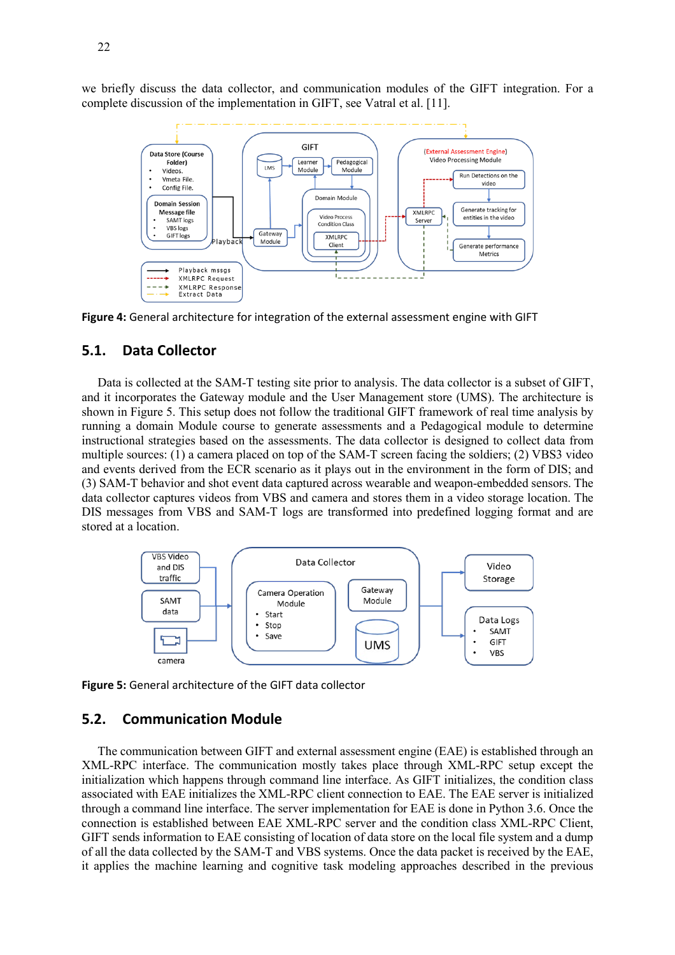we briefly discuss the data collector, and communication modules of the GIFT integration. For a complete discussion of the implementation in GIFT, see Vatral et al. [11].



**Figure 4:** General architecture for integration of the external assessment engine with GIFT

## **5.1. Data Collector**

Data is collected at the SAM-T testing site prior to analysis. The data collector is a subset of GIFT, and it incorporates the Gateway module and the User Management store (UMS). The architecture is shown in Figure 5. This setup does not follow the traditional GIFT framework of real time analysis by running a domain Module course to generate assessments and a Pedagogical module to determine instructional strategies based on the assessments. The data collector is designed to collect data from multiple sources: (1) a camera placed on top of the SAM-T screen facing the soldiers; (2) VBS3 video and events derived from the ECR scenario as it plays out in the environment in the form of DIS; and (3) SAM-T behavior and shot event data captured across wearable and weapon-embedded sensors. The data collector captures videos from VBS and camera and stores them in a video storage location. The DIS messages from VBS and SAM-T logs are transformed into predefined logging format and are stored at a location.



**Figure 5:** General architecture of the GIFT data collector

# **5.2. Communication Module**

The communication between GIFT and external assessment engine (EAE) is established through an XML-RPC interface. The communication mostly takes place through XML-RPC setup except the initialization which happens through command line interface. As GIFT initializes, the condition class associated with EAE initializes the XML-RPC client connection to EAE. The EAE server is initialized through a command line interface. The server implementation for EAE is done in Python 3.6. Once the connection is established between EAE XML-RPC server and the condition class XML-RPC Client, GIFT sends information to EAE consisting of location of data store on the local file system and a dump of all the data collected by the SAM-T and VBS systems. Once the data packet is received by the EAE, it applies the machine learning and cognitive task modeling approaches described in the previous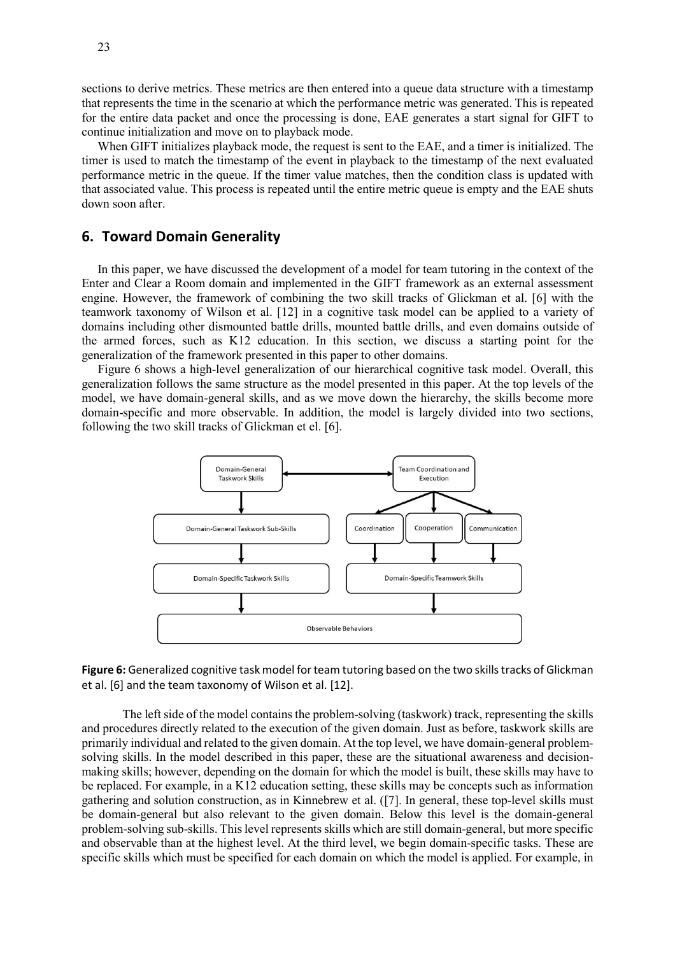sections to derive metrics. These metrics are then entered into a queue data structure with a timestamp that represents the time in the scenario at which the performance metric was generated. This is repeated for the entire data packet and once the processing is done, EAE generates a start signal for GIFT to continue initialization and move on to playback mode.

When GIFT initializes playback mode, the request is sent to the EAE, and a timer is initialized. The timer is used to match the timestamp of the event in playback to the timestamp of the next evaluated performance metric in the queue. If the timer value matches, then the condition class is updated with that associated value. This process is repeated until the entire metric queue is empty and the EAE shuts down soon after.

### **6. Toward Domain Generality**

In this paper, we have discussed the development of a model for team tutoring in the context of the Enter and Clear a Room domain and implemented in the GIFT framework as an external assessment engine. However, the framework of combining the two skill tracks of Glickman et al. [6] with the teamwork taxonomy of Wilson et al. [12] in a cognitive task model can be applied to a variety of domains including other dismounted battle drills, mounted battle drills, and even domains outside of the armed forces, such as K12 education. In this section, we discuss a starting point for the generalization of the framework presented in this paper to other domains.

Figure 6 shows a high-level generalization of our hierarchical cognitive task model. Overall, this generalization follows the same structure as the model presented in this paper. At the top levels of the model, we have domain-general skills, and as we move down the hierarchy, the skills become more domain-specific and more observable. In addition, the model is largely divided into two sections, following the two skill tracks of Glickman et el. [6].



**Figure 6:** Generalized cognitive task model for team tutoring based on the two skills tracks of Glickman et al. [6] and the team taxonomy of Wilson et al. [12].

The left side of the model contains the problem-solving (taskwork) track, representing the skills and procedures directly related to the execution of the given domain. Just as before, taskwork skills are primarily individual and related to the given domain. At the top level, we have domain-general problemsolving skills. In the model described in this paper, these are the situational awareness and decisionmaking skills; however, depending on the domain for which the model is built, these skills may have to be replaced. For example, in a K12 education setting, these skills may be concepts such as information gathering and solution construction, as in Kinnebrew et al. ([7]. In general, these top-level skills must be domain-general but also relevant to the given domain. Below this level is the domain-general problem-solving sub-skills. This level represents skills which are still domain-general, but more specific and observable than at the highest level. At the third level, we begin domain-specific tasks. These are specific skills which must be specified for each domain on which the model is applied. For example, in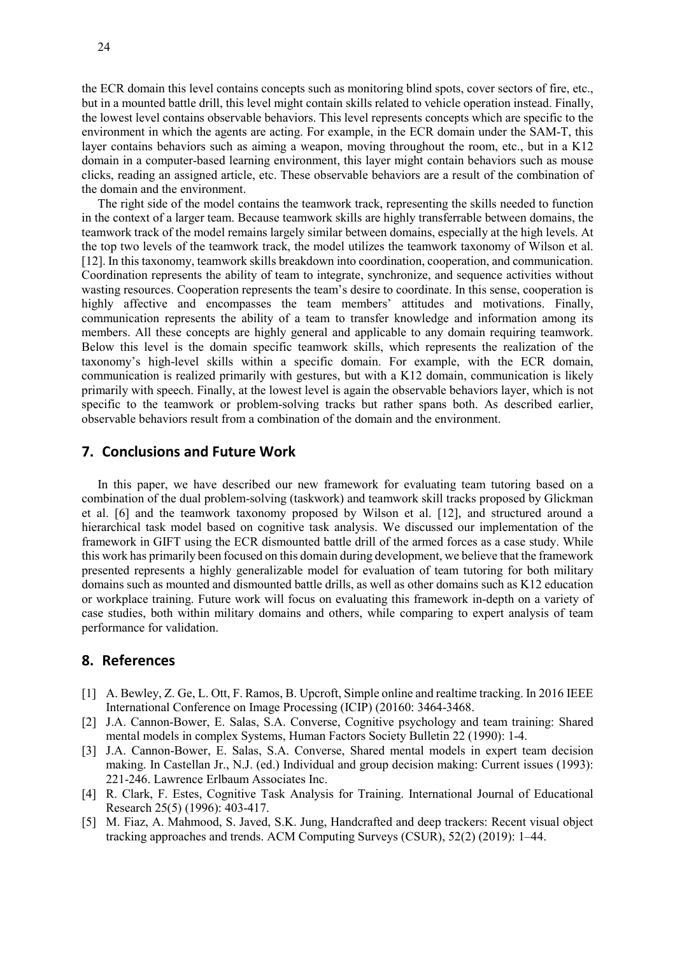the ECR domain this level contains concepts such as monitoring blind spots, cover sectors of fire, etc., but in a mounted battle drill, this level might contain skills related to vehicle operation instead. Finally, the lowest level contains observable behaviors. This level represents concepts which are specific to the environment in which the agents are acting. For example, in the ECR domain under the SAM-T, this layer contains behaviors such as aiming a weapon, moving throughout the room, etc., but in a K12 domain in a computer-based learning environment, this layer might contain behaviors such as mouse clicks, reading an assigned article, etc. These observable behaviors are a result of the combination of the domain and the environment.

The right side of the model contains the teamwork track, representing the skills needed to function in the context of a larger team. Because teamwork skills are highly transferrable between domains, the teamwork track of the model remains largely similar between domains, especially at the high levels. At the top two levels of the teamwork track, the model utilizes the teamwork taxonomy of Wilson et al. [12]. In this taxonomy, teamwork skills breakdown into coordination, cooperation, and communication. Coordination represents the ability of team to integrate, synchronize, and sequence activities without wasting resources. Cooperation represents the team's desire to coordinate. In this sense, cooperation is highly affective and encompasses the team members' attitudes and motivations. Finally, communication represents the ability of a team to transfer knowledge and information among its members. All these concepts are highly general and applicable to any domain requiring teamwork. Below this level is the domain specific teamwork skills, which represents the realization of the taxonomy's high-level skills within a specific domain. For example, with the ECR domain, communication is realized primarily with gestures, but with a K12 domain, communication is likely primarily with speech. Finally, at the lowest level is again the observable behaviors layer, which is not specific to the teamwork or problem-solving tracks but rather spans both. As described earlier, observable behaviors result from a combination of the domain and the environment.

#### **7. Conclusions and Future Work**

In this paper, we have described our new framework for evaluating team tutoring based on a combination of the dual problem-solving (taskwork) and teamwork skill tracks proposed by Glickman et al. [6] and the teamwork taxonomy proposed by Wilson et al. [12], and structured around a hierarchical task model based on cognitive task analysis. We discussed our implementation of the framework in GIFT using the ECR dismounted battle drill of the armed forces as a case study. While this work has primarily been focused on this domain during development, we believe that the framework presented represents a highly generalizable model for evaluation of team tutoring for both military domains such as mounted and dismounted battle drills, as well as other domains such as K12 education or workplace training. Future work will focus on evaluating this framework in-depth on a variety of case studies, both within military domains and others, while comparing to expert analysis of team performance for validation.

## **8. References**

- [1] A. Bewley, Z. Ge, L. Ott, F. Ramos, B. Upcroft, Simple online and realtime tracking. In 2016 IEEE International Conference on Image Processing (ICIP) (20160: 3464-3468.
- [2] J.A. Cannon-Bower, E. Salas, S.A. Converse, Cognitive psychology and team training: Shared mental models in complex Systems, Human Factors Society Bulletin 22 (1990): 1-4.
- [3] J.A. Cannon-Bower, E. Salas, S.A. Converse, Shared mental models in expert team decision making. In Castellan Jr., N.J. (ed.) Individual and group decision making: Current issues (1993): 221-246. Lawrence Erlbaum Associates Inc.
- [4] R. Clark, F. Estes, Cognitive Task Analysis for Training. International Journal of Educational Research 25(5) (1996): 403-417.
- [5] M. Fiaz, A. Mahmood, S. Javed, S.K. Jung, Handcrafted and deep trackers: Recent visual object tracking approaches and trends. ACM Computing Surveys (CSUR), 52(2) (2019): 1–44.